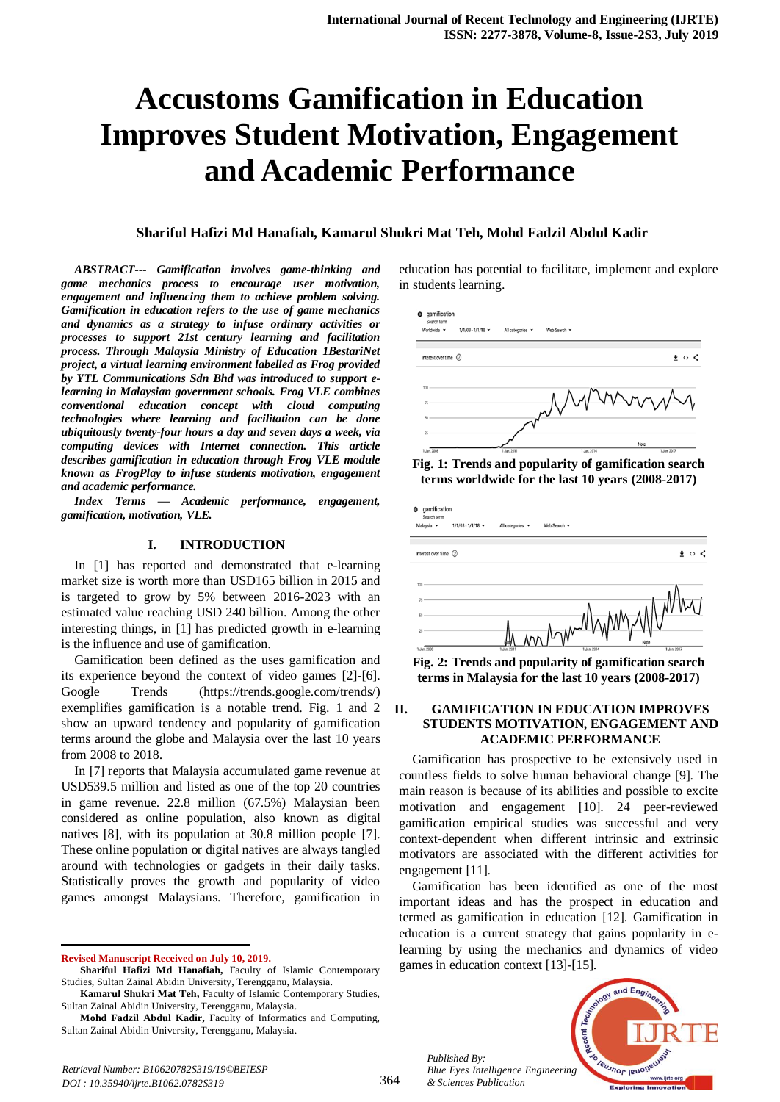# **Accustoms Gamification in Education Improves Student Motivation, Engagement and Academic Performance**

## **Shariful Hafizi Md Hanafiah, Kamarul Shukri Mat Teh, Mohd Fadzil Abdul Kadir**

*ABSTRACT--- Gamification involves game-thinking and game mechanics process to encourage user motivation, engagement and influencing them to achieve problem solving. Gamification in education refers to the use of game mechanics and dynamics as a strategy to infuse ordinary activities or processes to support 21st century learning and facilitation process. Through Malaysia Ministry of Education 1BestariNet project, a virtual learning environment labelled as Frog provided by YTL Communications Sdn Bhd was introduced to support elearning in Malaysian government schools. Frog VLE combines conventional education concept with cloud computing technologies where learning and facilitation can be done ubiquitously twenty-four hours a day and seven days a week, via computing devices with Internet connection. This article describes gamification in education through Frog VLE module known as FrogPlay to infuse students motivation, engagement and academic performance.*

*Index Terms — Academic performance, engagement, gamification, motivation, VLE.*

## **I. INTRODUCTION**

In [1] has reported and demonstrated that e-learning market size is worth more than USD165 billion in 2015 and is targeted to grow by 5% between 2016-2023 with an estimated value reaching USD 240 billion. Among the other interesting things, in [1] has predicted growth in e-learning is the influence and use of gamification.

Gamification been defined as the uses gamification and its experience beyond the context of video games [2]-[6]. Google Trends (https://trends.google.com/trends/) exemplifies gamification is a notable trend. Fig. 1 and 2 show an upward tendency and popularity of gamification terms around the globe and Malaysia over the last 10 years from 2008 to 2018.

In [7] reports that Malaysia accumulated game revenue at USD539.5 million and listed as one of the top 20 countries in game revenue. 22.8 million (67.5%) Malaysian been considered as online population, also known as digital natives [8], with its population at 30.8 million people [7]. These online population or digital natives are always tangled around with technologies or gadgets in their daily tasks. Statistically proves the growth and popularity of video games amongst Malaysians. Therefore, gamification in

**Revised Manuscript Received on July 10, 2019.**

 $\overline{a}$ 

education has potential to facilitate, implement and explore in students learning.







**Fig. 2: Trends and popularity of gamification search terms in Malaysia for the last 10 years (2008-2017)**

## **II. GAMIFICATION IN EDUCATION IMPROVES STUDENTS MOTIVATION, ENGAGEMENT AND ACADEMIC PERFORMANCE**

Gamification has prospective to be extensively used in countless fields to solve human behavioral change [9]. The main reason is because of its abilities and possible to excite motivation and engagement [10]. 24 peer-reviewed gamification empirical studies was successful and very context-dependent when different intrinsic and extrinsic motivators are associated with the different activities for engagement [11].

Gamification has been identified as one of the most important ideas and has the prospect in education and termed as gamification in education [12]. Gamification in education is a current strategy that gains popularity in elearning by using the mechanics and dynamics of video games in education context [13]-[15].

*Published By: Blue Eyes Intelligence Engineering & Sciences Publication* 



**Shariful Hafizi Md Hanafiah,** Faculty of Islamic Contemporary Studies, Sultan Zainal Abidin University, Terengganu, Malaysia.

**Kamarul Shukri Mat Teh,** Faculty of Islamic Contemporary Studies, Sultan Zainal Abidin University, Terengganu, Malaysia.

**Mohd Fadzil Abdul Kadir,** Faculty of Informatics and Computing, Sultan Zainal Abidin University, Terengganu, Malaysia.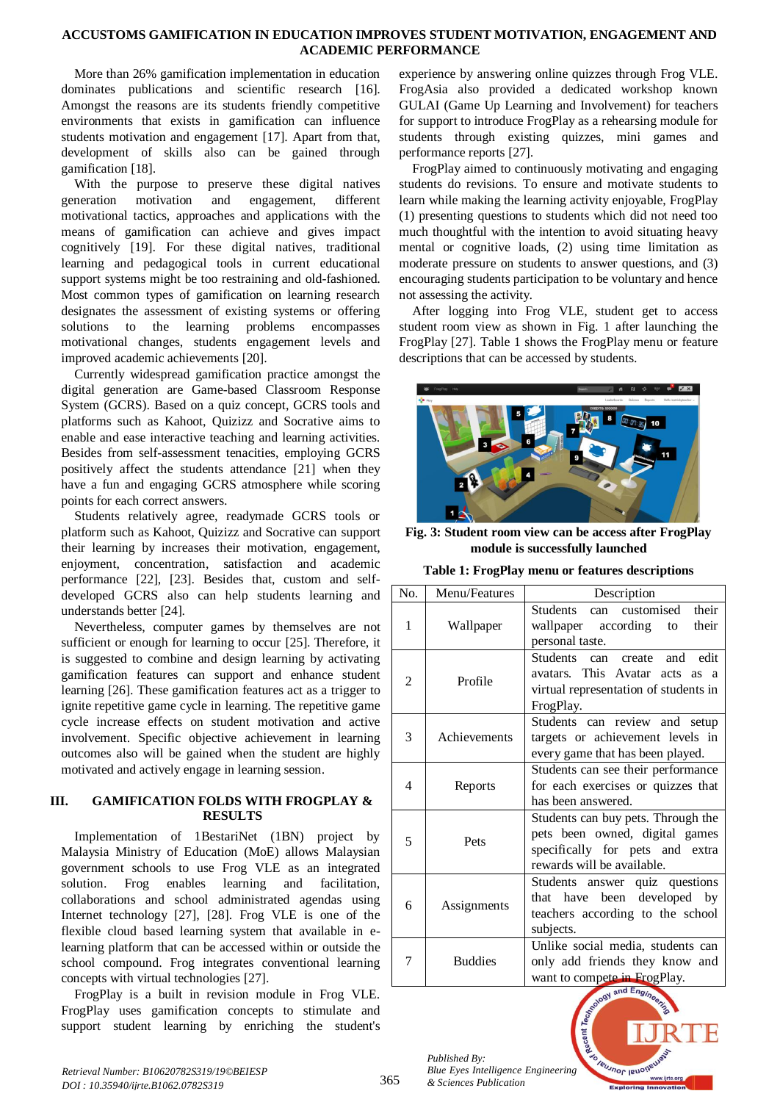## **ACCUSTOMS GAMIFICATION IN EDUCATION IMPROVES STUDENT MOTIVATION, ENGAGEMENT AND ACADEMIC PERFORMANCE**

More than 26% gamification implementation in education dominates publications and scientific research [16]. Amongst the reasons are its students friendly competitive environments that exists in gamification can influence students motivation and engagement [17]. Apart from that, development of skills also can be gained through gamification [18].

With the purpose to preserve these digital natives generation motivation and engagement, different motivational tactics, approaches and applications with the means of gamification can achieve and gives impact cognitively [19]. For these digital natives, traditional learning and pedagogical tools in current educational support systems might be too restraining and old-fashioned. Most common types of gamification on learning research designates the assessment of existing systems or offering solutions to the learning problems encompasses motivational changes, students engagement levels and improved academic achievements [20].

Currently widespread gamification practice amongst the digital generation are Game-based Classroom Response System (GCRS). Based on a quiz concept, GCRS tools and platforms such as Kahoot, Quizizz and Socrative aims to enable and ease interactive teaching and learning activities. Besides from self-assessment tenacities, employing GCRS positively affect the students attendance [21] when they have a fun and engaging GCRS atmosphere while scoring points for each correct answers.

Students relatively agree, readymade GCRS tools or platform such as Kahoot, Quizizz and Socrative can support their learning by increases their motivation, engagement, enjoyment, concentration, satisfaction and academic performance [22], [23]. Besides that, custom and selfdeveloped GCRS also can help students learning and understands better [24].

Nevertheless, computer games by themselves are not sufficient or enough for learning to occur [25]. Therefore, it is suggested to combine and design learning by activating gamification features can support and enhance student learning [26]. These gamification features act as a trigger to ignite repetitive game cycle in learning. The repetitive game cycle increase effects on student motivation and active involvement. Specific objective achievement in learning outcomes also will be gained when the student are highly motivated and actively engage in learning session.

# **III. GAMIFICATION FOLDS WITH FROGPLAY & RESULTS**

Implementation of 1BestariNet (1BN) project by Malaysia Ministry of Education (MoE) allows Malaysian government schools to use Frog VLE as an integrated solution. Frog enables learning and facilitation, collaborations and school administrated agendas using Internet technology [27], [28]. Frog VLE is one of the flexible cloud based learning system that available in elearning platform that can be accessed within or outside the school compound. Frog integrates conventional learning concepts with virtual technologies [27].

FrogPlay is a built in revision module in Frog VLE. FrogPlay uses gamification concepts to stimulate and support student learning by enriching the student's experience by answering online quizzes through Frog VLE. FrogAsia also provided a dedicated workshop known GULAI (Game Up Learning and Involvement) for teachers for support to introduce FrogPlay as a rehearsing module for students through existing quizzes, mini games and performance reports [27].

FrogPlay aimed to continuously motivating and engaging students do revisions. To ensure and motivate students to learn while making the learning activity enjoyable, FrogPlay (1) presenting questions to students which did not need too much thoughtful with the intention to avoid situating heavy mental or cognitive loads, (2) using time limitation as moderate pressure on students to answer questions, and (3) encouraging students participation to be voluntary and hence not assessing the activity.

After logging into Frog VLE, student get to access student room view as shown in Fig. 1 after launching the FrogPlay [27]. Table 1 shows the FrogPlay menu or feature descriptions that can be accessed by students.



**Fig. 3: Student room view can be access after FrogPlay module is successfully launched**

|  |  |  |  |  | Table 1: FrogPlay menu or features descriptions |
|--|--|--|--|--|-------------------------------------------------|
|--|--|--|--|--|-------------------------------------------------|

| No. | Menu/Features  | Description                                                                                                                           |  |  |
|-----|----------------|---------------------------------------------------------------------------------------------------------------------------------------|--|--|
| 1   | Wallpaper      | Students can customised<br>their<br>wallpaper according to<br>their<br>personal taste.                                                |  |  |
| 2   | Profile        | Students can create<br>and edit<br>avatars. This Avatar acts as a<br>virtual representation of students in<br>FrogPlay.               |  |  |
| 3   | Achievements   | Students can review and setup<br>targets or achievement levels in<br>every game that has been played.                                 |  |  |
| 4   | Reports        | Students can see their performance<br>for each exercises or quizzes that<br>has been answered.                                        |  |  |
| 5   | Pets           | Students can buy pets. Through the<br>pets been owned, digital games<br>specifically for pets and extra<br>rewards will be available. |  |  |
| 6   | Assignments    | Students answer quiz questions<br>that have been developed by<br>teachers according to the school<br>subjects.                        |  |  |
| 7   | <b>Buddies</b> | Unlike social media, students can<br>only add friends they know and<br>want to compete in FrogPlay.                                   |  |  |

leunnor lend

*Published By: Blue Eyes Intelligence Engineering & Sciences Publication* 

*Retrieval Number: B10620782S319/19©BEIESP DOI : 10.35940/ijrte.B1062.0782S319*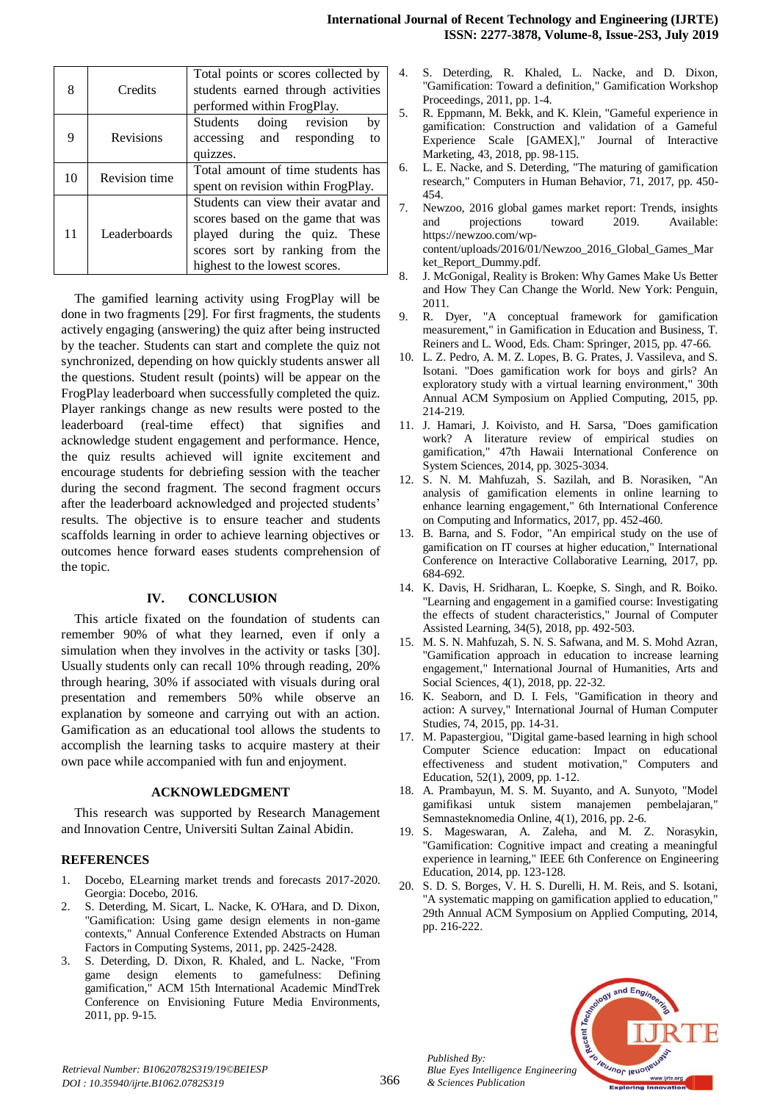| 8  | Credits          | Total points or scores collected by<br>students earned through activities<br>performed within FrogPlay.                                                                      |  |  |
|----|------------------|------------------------------------------------------------------------------------------------------------------------------------------------------------------------------|--|--|
| 9  | <b>Revisions</b> | doing revision<br>Students<br>by<br>accessing and responding<br>to<br>quizzes.                                                                                               |  |  |
| 10 | Revision time    | Total amount of time students has<br>spent on revision within FrogPlay.                                                                                                      |  |  |
| 11 | Leaderboards     | Students can view their avatar and<br>scores based on the game that was<br>played during the quiz. These<br>scores sort by ranking from the<br>highest to the lowest scores. |  |  |

The gamified learning activity using FrogPlay will be done in two fragments [29]. For first fragments, the students actively engaging (answering) the quiz after being instructed by the teacher. Students can start and complete the quiz not synchronized, depending on how quickly students answer all the questions. Student result (points) will be appear on the FrogPlay leaderboard when successfully completed the quiz. Player rankings change as new results were posted to the leaderboard (real-time effect) that signifies and acknowledge student engagement and performance. Hence, the quiz results achieved will ignite excitement and encourage students for debriefing session with the teacher during the second fragment. The second fragment occurs after the leaderboard acknowledged and projected students' results. The objective is to ensure teacher and students scaffolds learning in order to achieve learning objectives or outcomes hence forward eases students comprehension of the topic.

# **IV. CONCLUSION**

This article fixated on the foundation of students can remember 90% of what they learned, even if only a simulation when they involves in the activity or tasks [30]. Usually students only can recall 10% through reading, 20% through hearing, 30% if associated with visuals during oral presentation and remembers 50% while observe an explanation by someone and carrying out with an action. Gamification as an educational tool allows the students to accomplish the learning tasks to acquire mastery at their own pace while accompanied with fun and enjoyment.

### **ACKNOWLEDGMENT**

This research was supported by Research Management and Innovation Centre, Universiti Sultan Zainal Abidin.

### **REFERENCES**

- 1. Docebo, ELearning market trends and forecasts 2017-2020. Georgia: Docebo, 2016.
- 2. S. Deterding, M. Sicart, L. Nacke, K. O'Hara, and D. Dixon, "Gamification: Using game design elements in non-game contexts," Annual Conference Extended Abstracts on Human Factors in Computing Systems, 2011, pp. 2425-2428.
- 3. S. Deterding, D. Dixon, R. Khaled, and L. Nacke, "From game design elements to gamefulness: Defining gamification," ACM 15th International Academic MindTrek Conference on Envisioning Future Media Environments, 2011, pp. 9-15.
- 4. S. Deterding, R. Khaled, L. Nacke, and D. Dixon, "Gamification: Toward a definition," Gamification Workshop Proceedings, 2011, pp. 1-4.
- 5. R. Eppmann, M. Bekk, and K. Klein, "Gameful experience in gamification: Construction and validation of a Gameful Experience Scale [GAMEX]," Journal of Interactive Marketing, 43, 2018, pp. 98-115.
- 6. L. E. Nacke, and S. Deterding, "The maturing of gamification research," Computers in Human Behavior, 71, 2017, pp. 450- 454.
- 7. Newzoo, 2016 global games market report: Trends, insights and projections toward 2019. Available: https://newzoo.com/wpcontent/uploads/2016/01/Newzoo\_2016\_Global\_Games\_Mar ket\_Report\_Dummy.pdf.
- 8. J. McGonigal, Reality is Broken: Why Games Make Us Better and How They Can Change the World. New York: Penguin, 2011.
- 9. R. Dyer, "A conceptual framework for gamification measurement," in Gamification in Education and Business, T. Reiners and L. Wood, Eds. Cham: Springer, 2015, pp. 47-66.
- 10. L. Z. Pedro, A. M. Z. Lopes, B. G. Prates, J. Vassileva, and S. Isotani. "Does gamification work for boys and girls? An exploratory study with a virtual learning environment," 30th Annual ACM Symposium on Applied Computing, 2015, pp. 214-219.
- 11. J. Hamari, J. Koivisto, and H. Sarsa, "Does gamification work? A literature review of empirical studies on gamification," 47th Hawaii International Conference on System Sciences, 2014, pp. 3025-3034.
- 12. S. N. M. Mahfuzah, S. Sazilah, and B. Norasiken, "An analysis of gamification elements in online learning to enhance learning engagement," 6th International Conference on Computing and Informatics, 2017, pp. 452-460.
- 13. B. Barna, and S. Fodor, "An empirical study on the use of gamification on IT courses at higher education," International Conference on Interactive Collaborative Learning, 2017, pp. 684-692.
- 14. K. Davis, H. Sridharan, L. Koepke, S. Singh, and R. Boiko. "Learning and engagement in a gamified course: Investigating the effects of student characteristics," Journal of Computer Assisted Learning, 34(5), 2018, pp. 492-503.
- 15. M. S. N. Mahfuzah, S. N. S. Safwana, and M. S. Mohd Azran, "Gamification approach in education to increase learning engagement," International Journal of Humanities, Arts and Social Sciences, 4(1), 2018, pp. 22-32.
- 16. K. Seaborn, and D. I. Fels, "Gamification in theory and action: A survey," International Journal of Human Computer Studies, 74, 2015, pp. 14-31.
- 17. M. Papastergiou, "Digital game-based learning in high school Computer Science education: Impact on educational effectiveness and student motivation," Computers and Education, 52(1), 2009, pp. 1-12.
- 18. A. Prambayun, M. S. M. Suyanto, and A. Sunyoto, "Model gamifikasi untuk sistem manajemen pembelajaran," Semnasteknomedia Online, 4(1), 2016, pp. 2-6.
- 19. S. Mageswaran, A. Zaleha, and M. Z. Norasykin, "Gamification: Cognitive impact and creating a meaningful experience in learning," IEEE 6th Conference on Engineering Education, 2014, pp. 123-128.
- 20. S. D. S. Borges, V. H. S. Durelli, H. M. Reis, and S. Isotani, "A systematic mapping on gamification applied to education," 29th Annual ACM Symposium on Applied Computing, 2014, pp. 216-222.



*Published By:*

*& Sciences Publication*